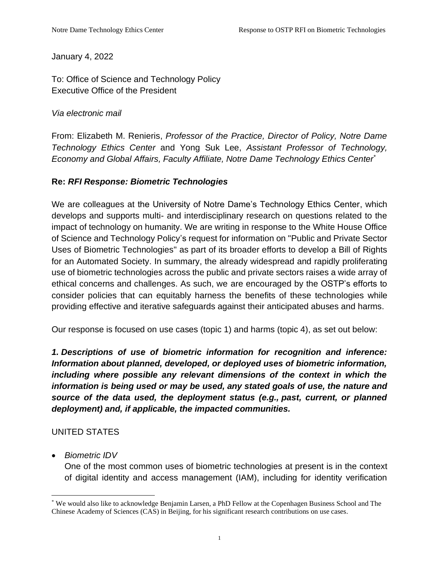January 4, 2022

To: Office of Science and Technology Policy Executive Office of the President

#### *Via electronic mail*

From: Elizabeth M. Renieris, *Professor of the Practice, Director of Policy, Notre Dame Technology Ethics Center* and Yong Suk Lee, *Assistant Professor of Technology, Economy and Global Affairs, Faculty Affiliate, Notre Dame Technology Ethics Center\**

#### **Re:** *RFI Response: Biometric Technologies*

We are colleagues at the University of Notre Dame's Technology Ethics Center, which develops and supports multi- and interdisciplinary research on questions related to the impact of technology on humanity. We are writing in response to the White House Office of Science and Technology Policy's request for information on "Public and Private Sector Uses of Biometric Technologies" as part of its broader efforts to develop a Bill of Rights for an Automated Society. In summary, the already widespread and rapidly proliferating use of biometric technologies across the public and private sectors raises a wide array of ethical concerns and challenges. As such, we are encouraged by the OSTP's efforts to consider policies that can equitably harness the benefits of these technologies while providing effective and iterative safeguards against their anticipated abuses and harms.

Our response is focused on use cases (topic 1) and harms (topic 4), as set out below:

*1. Descriptions of use of biometric information for recognition and inference: Information about planned, developed, or deployed uses of biometric information, including where possible any relevant dimensions of the context in which the information is being used or may be used, any stated goals of use, the nature and source of the data used, the deployment status (e.g., past, current, or planned deployment) and, if applicable, the impacted communities.*

### UNITED STATES

• *Biometric IDV* 

One of the most common uses of biometric technologies at present is in the context of digital identity and access management (IAM), including for identity verification

<sup>\*</sup> We would also like to acknowledge Benjamin Larsen, a PhD Fellow at the Copenhagen Business School and The Chinese Academy of Sciences (CAS) in Beijing, for his significant research contributions on use cases.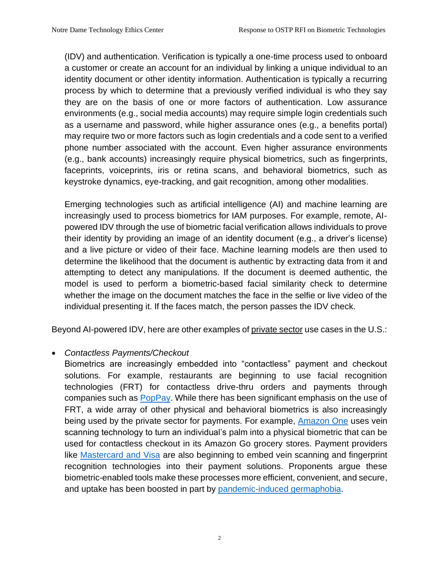(IDV) and authentication. Verification is typically a one-time process used to onboard a customer or create an account for an individual by linking a unique individual to an identity document or other identity information. Authentication is typically a recurring process by which to determine that a previously verified individual is who they say they are on the basis of one or more factors of authentication. Low assurance environments (e.g., social media accounts) may require simple login credentials such as a username and password, while higher assurance ones (e.g., a benefits portal) may require two or more factors such as login credentials and a code sent to a verified phone number associated with the account. Even higher assurance environments (e.g., bank accounts) increasingly require physical biometrics, such as fingerprints, faceprints, voiceprints, iris or retina scans, and behavioral biometrics, such as keystroke dynamics, eye-tracking, and gait recognition, among other modalities.

Emerging technologies such as artificial intelligence (AI) and machine learning are increasingly used to process biometrics for IAM purposes. For example, remote, AIpowered IDV through the use of biometric facial verification allows individuals to prove their identity by providing an image of an identity document (e.g., a driver's license) and a live picture or video of their face. Machine learning models are then used to determine the likelihood that the document is authentic by extracting data from it and attempting to detect any manipulations. If the document is deemed authentic, the model is used to perform a biometric-based facial similarity check to determine whether the image on the document matches the face in the selfie or live video of the individual presenting it. If the faces match, the person passes the IDV check.

Beyond AI-powered IDV, here are other examples of private sector use cases in the U.S.:

#### • *Contactless Payments/Checkout*

Biometrics are increasingly embedded into "contactless" payment and checkout solutions. For example, restaurants are beginning to use facial recognition technologies (FRT) for contactless drive-thru orders and payments through companies such as [PopPay.](https://www.cnn.com/2021/02/26/tech/mcdonalds-drive-thru-artificial-intelligence/index.html) While there has been significant emphasis on the use of FRT, a wide array of other physical and behavioral biometrics is also increasingly being used by the private sector for payments. For example, [Amazon One](https://www.aboutamazon.com/news/innovation-at-amazon/introducing-amazon-one-a-new-innovation-to-make-everyday-activities-effortless) uses vein scanning technology to turn an individual's palm into a physical biometric that can be used for contactless checkout in its Amazon Go grocery stores. Payment providers like [Mastercard and Visa](https://findbiometrics.com/financial-biometrics-month-biometric-payments-cards-commercialization-race-711059/) are also beginning to embed vein scanning and fingerprint recognition technologies into their payment solutions. Proponents argue these biometric-enabled tools make these processes more efficient, convenient, and secure, and uptake has been boosted in part by [pandemic-induced germaphobia.](https://www.nerdwallet.com/article/credit-cards/yucky-money-3-options-contactless-card-payments)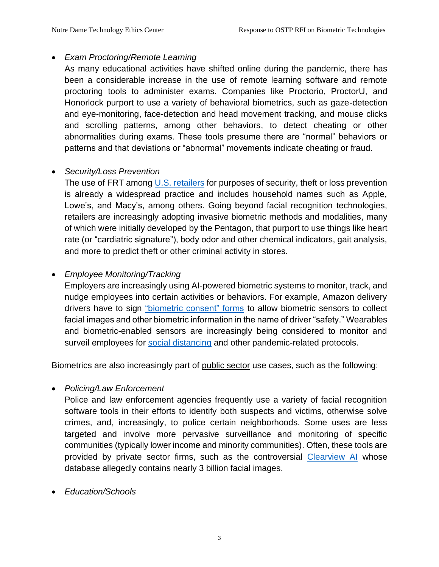#### • *Exam Proctoring/Remote Learning*

As many educational activities have shifted online during the pandemic, there has been a considerable increase in the use of remote learning software and remote proctoring tools to administer exams. Companies like Proctorio, ProctorU, and Honorlock purport to use a variety of behavioral biometrics, such as gaze-detection and eye-monitoring, face-detection and head movement tracking, and mouse clicks and scrolling patterns, among other behaviors, to detect cheating or other abnormalities during exams. These tools presume there are "normal" behaviors or patterns and that deviations or "abnormal" movements indicate cheating or fraud.

### • *Security/Loss Prevention*

The use of FRT among [U.S. retailers](https://www.banfacialrecognition.com/stores/) for purposes of security, theft or loss prevention is already a widespread practice and includes household names such as Apple, Lowe's, and Macy's, among others. Going beyond facial recognition technologies, retailers are increasingly adopting invasive biometric methods and modalities, many of which were initially developed by the Pentagon, that purport to use things like heart rate (or "cardiatric signature"), body odor and other chemical indicators, gait analysis, and more to predict theft or other criminal activity in stores.

### • *Employee Monitoring/Tracking*

Employers are increasingly using AI-powered biometric systems to monitor, track, and nudge employees into certain activities or behaviors. For example, Amazon delivery drivers have to sign ["biometric consent" forms](https://www.theverge.com/2021/3/24/22347945/amazon-delivery-drivers-ai-surveillance-cameras-vans-consent-form) to allow biometric sensors to collect facial images and other biometric information in the name of driver "safety." Wearables and biometric-enabled sensors are increasingly being considered to monitor and surveil employees for [social distancing](https://www.foodlogistics.com/software-technology/press-release/21195787/nymi-wearables-enable-social-distancing-in-warehouses) and other pandemic-related protocols.

Biometrics are also increasingly part of public sector use cases, such as the following:

• *Policing/Law Enforcement*

Police and law enforcement agencies frequently use a variety of facial recognition software tools in their efforts to identify both suspects and victims, otherwise solve crimes, and, increasingly, to police certain neighborhoods. Some uses are less targeted and involve more pervasive surveillance and monitoring of specific communities (typically lower income and minority communities). Often, these tools are provided by private sector firms, such as the controversial [Clearview AI](https://www.theverge.com/2020/8/26/21402978/clearview-ai-ceo-interview-2400-police-agencies-facial-recognition) whose database allegedly contains nearly 3 billion facial images.

• *Education/Schools*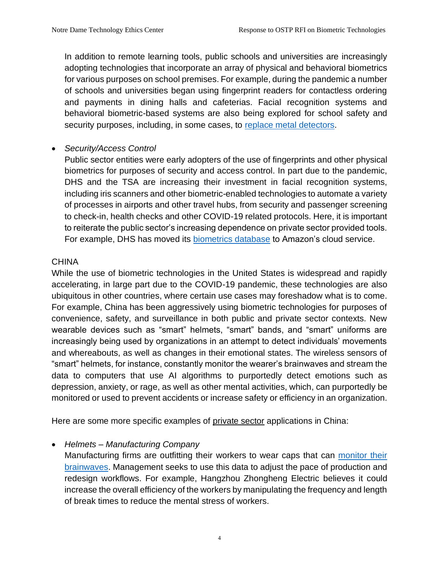In addition to remote learning tools, public schools and universities are increasingly adopting technologies that incorporate an array of physical and behavioral biometrics for various purposes on school premises. For example, during the pandemic a number of schools and universities began using fingerprint readers for contactless ordering and payments in dining halls and cafeterias. Facial recognition systems and behavioral biometric-based systems are also being explored for school safety and security purposes, including, in some cases, to [replace metal detectors.](https://www.nydailynews.com/new-york/education/ny-schools-metal-detectors-new-technology-20211215-f45lceq6ebd4df64eybehou6nu-story.html)

#### • *Security/Access Control*

Public sector entities were early adopters of the use of fingerprints and other physical biometrics for purposes of security and access control. In part due to the pandemic, DHS and the TSA are increasing their investment in facial recognition systems, including iris scanners and other biometric-enabled technologies to automate a variety of processes in airports and other travel hubs, from security and passenger screening to check-in, health checks and other COVID-19 related protocols. Here, it is important to reiterate the public sector's increasing dependence on private sector provided tools. For example, DHS has moved its [biometrics database](https://thehill.com/policy/technology/496624-dhs-moving-biometrics-database-to-amazon-cloud) to Amazon's cloud service.

#### **CHINA**

While the use of biometric technologies in the United States is widespread and rapidly accelerating, in large part due to the COVID-19 pandemic, these technologies are also ubiquitous in other countries, where certain use cases may foreshadow what is to come. For example, China has been aggressively using biometric technologies for purposes of convenience, safety, and surveillance in both public and private sector contexts. New wearable devices such as "smart" helmets, "smart" bands, and "smart" uniforms are increasingly being used by organizations in an attempt to detect individuals' movements and whereabouts, as well as changes in their emotional states. The wireless sensors of "smart" helmets, for instance, constantly monitor the wearer's brainwaves and stream the data to computers that use AI algorithms to purportedly detect emotions such as depression, anxiety, or rage, as well as other mental activities, which, can purportedly be monitored or used to prevent accidents or increase safety or efficiency in an organization.

Here are some more specific examples of private sector applications in China:

#### • *Helmets – Manufacturing Company*

Manufacturing firms are outfitting their workers to wear caps that can [monitor their](https://u.osu.edu/mclc/2018/05/01/brain-reading-technology/)  [brainwaves.](https://u.osu.edu/mclc/2018/05/01/brain-reading-technology/) Management seeks to use this data to adjust the pace of production and redesign workflows. For example, Hangzhou Zhongheng Electric believes it could increase the overall efficiency of the workers by manipulating the frequency and length of break times to reduce the mental stress of workers.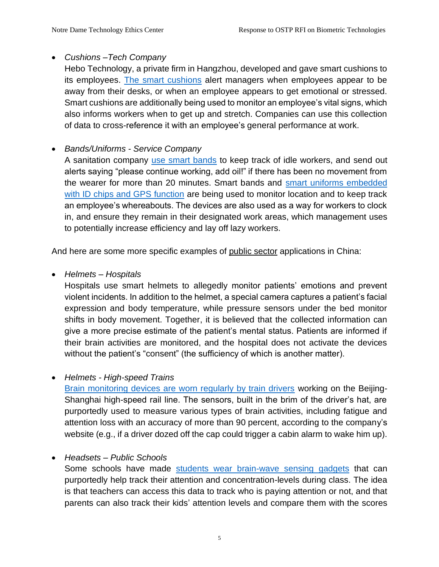## • *Cushions –Tech Company*

Hebo Technology, a private firm in Hangzhou, developed and gave smart cushions to its employees. [The smart cushions](https://www.scmp.com/news/people-culture/trending-china/article/3117011/smart-cushion-reports-staff-absences-boss) alert managers when employees appear to be away from their desks, or when an employee appears to get emotional or stressed. Smart cushions are additionally being used to monitor an employee's vital signs, which also informs workers when to get up and stretch. Companies can use this collection of data to cross-reference it with an employee's general performance at work.

# • *Bands/Uniforms - Service Company*

A sanitation company [use smart bands](https://www.slashgear.com/chinese-province-deploys-real-time-gps-trackers-to-monitor-workers-07572329/) to keep track of idle workers, and send out alerts saying "please continue working, add oil!" if there has been no movement from the wearer for more than 20 minutes. Smart bands and [smart uniforms embedded](https://www.abacusnews.com/digital-life/chinese-schools-are-using-chips-uniforms-monitor-students/article/3000359)  [with ID chips and GPS function](https://www.abacusnews.com/digital-life/chinese-schools-are-using-chips-uniforms-monitor-students/article/3000359) are being used to monitor location and to keep track an employee's whereabouts. The devices are also used as a way for workers to clock in, and ensure they remain in their designated work areas, which management uses to potentially increase efficiency and lay off lazy workers.

And here are some more specific examples of public sector applications in China:

### • *Helmets – Hospitals*

Hospitals use smart helmets to allegedly monitor patients' emotions and prevent violent incidents. In addition to the helmet, a special camera captures a patient's facial expression and body temperature, while pressure sensors under the bed monitor shifts in body movement. Together, it is believed that the collected information can give a more precise estimate of the patient's mental status. Patients are informed if their brain activities are monitored, and the hospital does not activate the devices without the patient's "consent" (the sufficiency of which is another matter).

### • *Helmets - High-speed Trains*

[Brain monitoring devices are worn regularly by train drivers](https://u.osu.edu/mclc/2018/05/01/brain-reading-technology/) working on the Beijing-Shanghai high-speed rail line. The sensors, built in the brim of the driver's hat, are purportedly used to measure various types of brain activities, including fatigue and attention loss with an accuracy of more than 90 percent, according to the company's website (e.g., if a driver dozed off the cap could trigger a cabin alarm to wake him up).

# • *Headsets – Public Schools*

Some schools have made [students wear brain-wave sensing gadgets](https://www.wsj.com/articles/chinas-efforts-to-lead-the-way-in-ai-start-in-its-classrooms-11571958181) that can purportedly help track their attention and concentration-levels during class. The idea is that teachers can access this data to track who is paying attention or not, and that parents can also track their kids' attention levels and compare them with the scores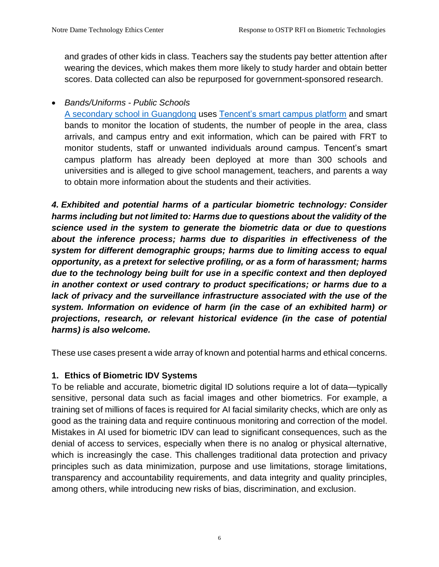and grades of other kids in class. Teachers say the students pay better attention after wearing the devices, which makes them more likely to study harder and obtain better scores. Data collected can also be repurposed for government-sponsored research.

• *Bands/Uniforms - Public Schools*

[A secondary school in Guangdong](https://www.scmp.com/news/china/society/article/2188888/chinese-school-buys-its-pupils-tracking-bracelets-then-vows) uses [Tencent's smart campus platform](https://www.chinadaily.com.cn/a/201912/04/WS5de77c66a310cf3e3557bfef.html) and smart bands to monitor the location of students, the number of people in the area, class arrivals, and campus entry and exit information, which can be paired with FRT to monitor students, staff or unwanted individuals around campus. Tencent's smart campus platform has already been deployed at more than 300 schools and universities and is alleged to give school management, teachers, and parents a way to obtain more information about the students and their activities.

*4. Exhibited and potential harms of a particular biometric technology: Consider harms including but not limited to: Harms due to questions about the validity of the science used in the system to generate the biometric data or due to questions about the inference process; harms due to disparities in effectiveness of the system for different demographic groups; harms due to limiting access to equal opportunity, as a pretext for selective profiling, or as a form of harassment; harms due to the technology being built for use in a specific context and then deployed in another context or used contrary to product specifications; or harms due to a*  lack of privacy and the surveillance infrastructure associated with the use of the *system. Information on evidence of harm (in the case of an exhibited harm) or projections, research, or relevant historical evidence (in the case of potential harms) is also welcome.*

These use cases present a wide array of known and potential harms and ethical concerns.

### **1. Ethics of Biometric IDV Systems**

To be reliable and accurate, biometric digital ID solutions require a lot of data—typically sensitive, personal data such as facial images and other biometrics. For example, a training set of millions of faces is required for AI facial similarity checks, which are only as good as the training data and require continuous monitoring and correction of the model. Mistakes in AI used for biometric IDV can lead to significant consequences, such as the denial of access to services, especially when there is no analog or physical alternative, which is increasingly the case. This challenges traditional data protection and privacy principles such as data minimization, purpose and use limitations, storage limitations, transparency and accountability requirements, and data integrity and quality principles, among others, while introducing new risks of bias, discrimination, and exclusion.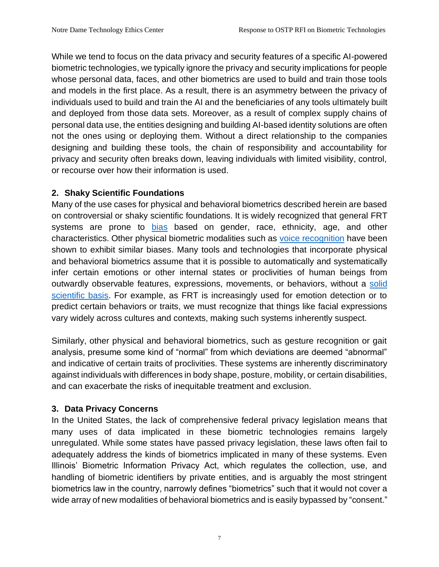While we tend to focus on the data privacy and security features of a specific AI-powered biometric technologies, we typically ignore the privacy and security implications for people whose personal data, faces, and other biometrics are used to build and train those tools and models in the first place. As a result, there is an asymmetry between the privacy of individuals used to build and train the AI and the beneficiaries of any tools ultimately built and deployed from those data sets. Moreover, as a result of complex supply chains of personal data use, the entities designing and building AI-based identity solutions are often not the ones using or deploying them. Without a direct relationship to the companies designing and building these tools, the chain of responsibility and accountability for privacy and security often breaks down, leaving individuals with limited visibility, control, or recourse over how their information is used.

# **2. Shaky Scientific Foundations**

Many of the use cases for physical and behavioral biometrics described herein are based on controversial or shaky scientific foundations. It is widely recognized that general FRT systems are prone to [bias](https://dam-prod.media.mit.edu/x/2018/02/06/Gender%20Shades%20Intersectional%20Accuracy%20Disparities.pdf) based on gender, race, ethnicity, age, and other characteristics. Other physical biometric modalities such as [voice recognition](https://hbr.org/2019/05/voice-recognition-still-has-significant-race-and-gender-biases) have been shown to exhibit similar biases. Many tools and technologies that incorporate physical and behavioral biometrics assume that it is possible to automatically and systematically infer certain emotions or other internal states or proclivities of human beings from outwardly observable features, expressions, movements, or behaviors, without a [solid](https://dl.acm.org/doi/abs/10.1145/3442188.3445939)  [scientific](https://dl.acm.org/doi/abs/10.1145/3442188.3445939) basis. For example, as FRT is increasingly used for emotion detection or to predict certain behaviors or traits, we must recognize that things like facial expressions vary widely across cultures and contexts, making such systems inherently suspect.

Similarly, other physical and behavioral biometrics, such as gesture recognition or gait analysis, presume some kind of "normal" from which deviations are deemed "abnormal" and indicative of certain traits of proclivities. These systems are inherently discriminatory against individuals with differences in body shape, posture, mobility, or certain disabilities, and can exacerbate the risks of inequitable treatment and exclusion.

# **3. Data Privacy Concerns**

In the United States, the lack of comprehensive federal privacy legislation means that many uses of data implicated in these biometric technologies remains largely unregulated. While some states have passed privacy legislation, these laws often fail to adequately address the kinds of biometrics implicated in many of these systems. Even Illinois' Biometric Information Privacy Act, which regulates the collection, use, and handling of biometric identifiers by private entities, and is arguably the most stringent biometrics law in the country, narrowly defines "biometrics" such that it would not cover a wide array of new modalities of behavioral biometrics and is easily bypassed by "consent."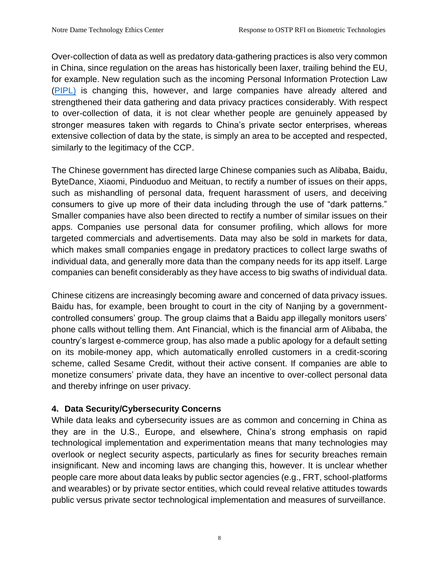Over-collection of data as well as predatory data-gathering practices is also very common in China, since regulation on the areas has historically been laxer, trailing behind the EU, for example. New regulation such as the incoming Personal Information Protection Law [\(PIPL\)](https://iapp.org/news/a/chinas-pipl-takes-effect-compliance-a-challenge/) is changing this, however, and large companies have already altered and strengthened their data gathering and data privacy practices considerably. With respect to over-collection of data, it is not clear whether people are genuinely appeased by stronger measures taken with regards to China's private sector enterprises, whereas extensive collection of data by the state, is simply an area to be accepted and respected, similarly to the legitimacy of the CCP.

The Chinese government has directed large Chinese companies such as Alibaba, Baidu, ByteDance, Xiaomi, Pinduoduo and Meituan, to rectify a number of issues on their apps, such as mishandling of personal data, frequent harassment of users, and deceiving consumers to give up more of their data including through the use of "dark patterns." Smaller companies have also been directed to rectify a number of similar issues on their apps. Companies use personal data for consumer profiling, which allows for more targeted commercials and advertisements. Data may also be sold in markets for data, which makes small companies engage in predatory practices to collect large swaths of individual data, and generally more data than the company needs for its app itself. Large companies can benefit considerably as they have access to big swaths of individual data.

Chinese citizens are increasingly becoming aware and concerned of data privacy issues. Baidu has, for example, been brought to court in the city of Nanjing by a governmentcontrolled consumers' group. The group claims that a Baidu app illegally monitors users' phone calls without telling them. Ant Financial, which is the financial arm of Alibaba, the country's largest e-commerce group, has also made a public apology for a default setting on its mobile-money app, which automatically enrolled customers in a credit-scoring scheme, called Sesame Credit, without their active consent. If companies are able to monetize consumers' private data, they have an incentive to over-collect personal data and thereby infringe on user privacy.

### **4. Data Security/Cybersecurity Concerns**

While data leaks and cybersecurity issues are as common and concerning in China as they are in the U.S., Europe, and elsewhere, China's strong emphasis on rapid technological implementation and experimentation means that many technologies may overlook or neglect security aspects, particularly as fines for security breaches remain insignificant. New and incoming laws are changing this, however. It is unclear whether people care more about data leaks by public sector agencies (e.g., FRT, school-platforms and wearables) or by private sector entities, which could reveal relative attitudes towards public versus private sector technological implementation and measures of surveillance.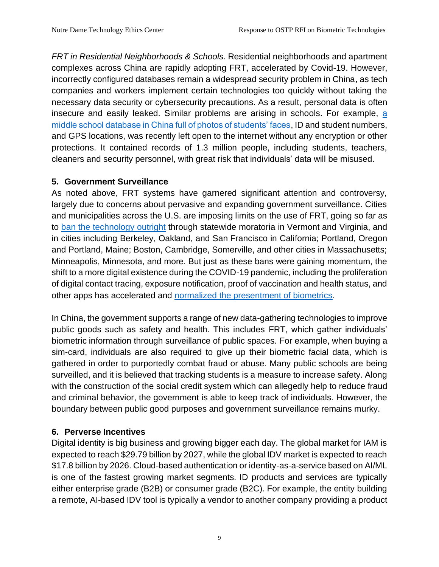*FRT in Residential Neighborhoods & Schools.* Residential neighborhoods and apartment complexes across China are rapidly adopting FRT, accelerated by Covid-19. However, incorrectly configured databases remain a widespread security problem in China, as tech companies and workers implement certain technologies too quickly without taking the necessary data security or cybersecurity precautions. As a result, personal data is often insecure and easily leaked. Similar problems are arising in schools. For example, a [middle school database in China full of photos of students' faces,](https://www.scmp.com/abacus/tech/article/3046275/middle-schools-facial-recognition-database-exposes-student-data) ID and student numbers, and GPS locations, was recently left open to the internet without any encryption or other protections. It contained records of 1.3 million people, including students, teachers, cleaners and security personnel, with great risk that individuals' data will be misused.

## **5. Government Surveillance**

As noted above, FRT systems have garnered significant attention and controversy, largely due to concerns about pervasive and expanding government surveillance. Cities and municipalities across the U.S. are imposing limits on the use of FRT, going so far as to [ban the technology outright](https://innotechtoday.com/13-cities-where-police-are-banned-from-using-facial-recognition-tech/) through statewide moratoria in Vermont and Virginia, and in cities including Berkeley, Oakland, and San Francisco in California; Portland, Oregon and Portland, Maine; Boston, Cambridge, Somerville, and other cities in Massachusetts; Minneapolis, Minnesota, and more. But just as these bans were gaining momentum, the shift to a more digital existence during the COVID-19 pandemic, including the proliferation of digital contact tracing, exposure notification, proof of vaccination and health status, and other apps has accelerated and [normalized the presentment of biometrics.](https://www.cigionline.org/articles/whats-really-stake-vaccine-passports/)

In China, the government supports a range of new data-gathering technologies to improve public goods such as safety and health. This includes FRT, which gather individuals' biometric information through surveillance of public spaces. For example, when buying a sim-card, individuals are also required to give up their biometric facial data, which is gathered in order to purportedly combat fraud or abuse. Many public schools are being surveilled, and it is believed that tracking students is a measure to increase safety. Along with the construction of the social credit system which can allegedly help to reduce fraud and criminal behavior, the government is able to keep track of individuals. However, the boundary between public good purposes and government surveillance remains murky.

# **6. Perverse Incentives**

Digital identity is big business and growing bigger each day. The global market for IAM is expected to reach \$29.79 billion by 2027, while the global IDV market is expected to reach \$17.8 billion by 2026. Cloud-based authentication or identity-as-a-service based on AI/ML is one of the fastest growing market segments. ID products and services are typically either enterprise grade (B2B) or consumer grade (B2C). For example, the entity building a remote, AI-based IDV tool is typically a vendor to another company providing a product